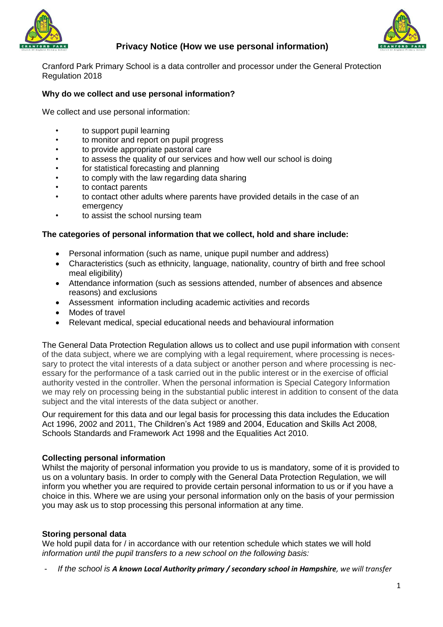



# **Privacy Notice (How we use personal information)**

Cranford Park Primary School is a data controller and processor under the General Protection Regulation 2018

## **Why do we collect and use personal information?**

We collect and use personal information:

- to support pupil learning
- to monitor and report on pupil progress
- to provide appropriate pastoral care
- to assess the quality of our services and how well our school is doing
- for statistical forecasting and planning
- to comply with the law regarding data sharing
- to contact parents
- to contact other adults where parents have provided details in the case of an emergency
- to assist the school nursing team

#### **The categories of personal information that we collect, hold and share include:**

- Personal information (such as name, unique pupil number and address)
- Characteristics (such as ethnicity, language, nationality, country of birth and free school meal eligibility)
- Attendance information (such as sessions attended, number of absences and absence reasons) and exclusions
- Assessment information including academic activities and records
- Modes of travel
- Relevant medical, special educational needs and behavioural information

The General Data Protection Regulation allows us to collect and use pupil information with consent of the data subject, where we are complying with a legal requirement, where processing is necessary to protect the vital interests of a data subject or another person and where processing is necessary for the performance of a task carried out in the public interest or in the exercise of official authority vested in the controller. When the personal information is Special Category Information we may rely on processing being in the substantial public interest in addition to consent of the data subject and the vital interests of the data subject or another.

Our requirement for this data and our legal basis for processing this data includes the Education Act 1996, 2002 and 2011, The Children's Act 1989 and 2004, Education and Skills Act 2008, Schools Standards and Framework Act 1998 and the Equalities Act 2010.

#### **Collecting personal information**

Whilst the majority of personal information you provide to us is mandatory, some of it is provided to us on a voluntary basis. In order to comply with the General Data Protection Regulation, we will inform you whether you are required to provide certain personal information to us or if you have a choice in this. Where we are using your personal information only on the basis of your permission you may ask us to stop processing this personal information at any time.

## **Storing personal data**

We hold pupil data for / in accordance with our retention schedule which states we will hold *information until the pupil transfers to a new school on the following basis:*

- *If the school is A known Local Authority primary / secondary school in Hampshire, we will transfer*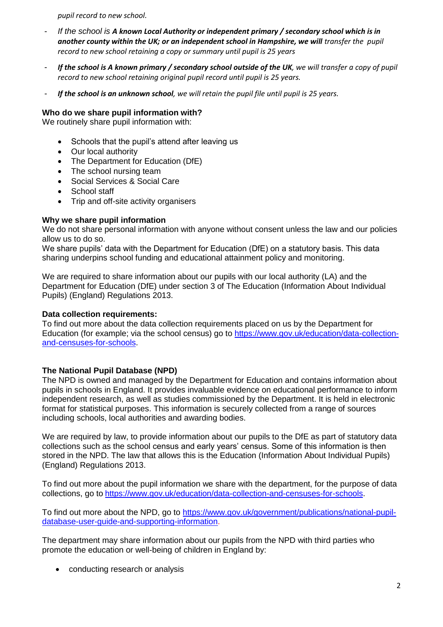*pupil record to new school.* 

- *If the school is A known Local Authority or independent primary / secondary school which is in*  another county within the UK; or an independent school in Hampshire, we will transfer the pupil *record to new school retaining a copy or summary until pupil is 25 years*
- *If the school is A known primary / secondary school outside of the UK, we will transfer a copy of pupil record to new school retaining original pupil record until pupil is 25 years.*
- *If the school is an unknown school, we will retain the pupil file until pupil is 25 years.*

## **Who do we share pupil information with?**

We routinely share pupil information with:

- Schools that the pupil's attend after leaving us
- Our local authority
- The Department for Education (DfE)
- The school nursing team
- Social Services & Social Care
- School staff
- Trip and off-site activity organisers

## **Why we share pupil information**

We do not share personal information with anyone without consent unless the law and our policies allow us to do so.

We share pupils' data with the Department for Education (DfE) on a statutory basis. This data sharing underpins school funding and educational attainment policy and monitoring.

We are required to share information about our pupils with our local authority (LA) and the Department for Education (DfE) under section 3 of The Education (Information About Individual Pupils) (England) Regulations 2013.

## **Data collection requirements:**

To find out more about the data collection requirements placed on us by the Department for Education (for example; via the school census) go to [https://www.gov.uk/education/data-collection](https://www.gov.uk/education/data-collection-and-censuses-for-schools)[and-censuses-for-schools.](https://www.gov.uk/education/data-collection-and-censuses-for-schools)

## **The National Pupil Database (NPD)**

The NPD is owned and managed by the Department for Education and contains information about pupils in schools in England. It provides invaluable evidence on educational performance to inform independent research, as well as studies commissioned by the Department. It is held in electronic format for statistical purposes. This information is securely collected from a range of sources including schools, local authorities and awarding bodies.

We are required by law, to provide information about our pupils to the DfE as part of statutory data collections such as the school census and early years' census. Some of this information is then stored in the NPD. The law that allows this is the Education (Information About Individual Pupils) (England) Regulations 2013.

To find out more about the pupil information we share with the department, for the purpose of data collections, go to [https://www.gov.uk/education/data-collection-and-censuses-for-schools.](https://www.gov.uk/education/data-collection-and-censuses-for-schools)

To find out more about the NPD, go to [https://www.gov.uk/government/publications/national-pupil](https://www.gov.uk/government/publications/national-pupil-database-user-guide-and-supporting-information)[database-user-guide-and-supporting-information.](https://www.gov.uk/government/publications/national-pupil-database-user-guide-and-supporting-information)

The department may share information about our pupils from the NPD with third parties who promote the education or well-being of children in England by:

• conducting research or analysis